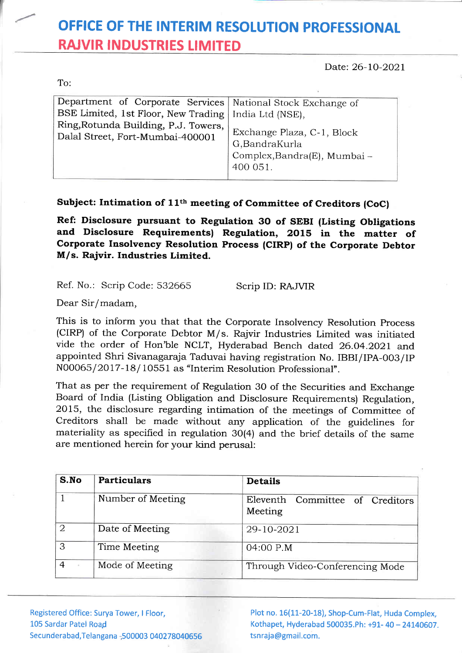## OFFICE OF THE INTERIM RESOLUTION PROFESSIONAL RAJVIR INDUSTR!ES LIMITED

Date: 26-10-2021

To:

| Department of Corporate Services   National Stock Exchange of            |                                                                                         |
|--------------------------------------------------------------------------|-----------------------------------------------------------------------------------------|
| BSE Limited, 1st Floor, New Trading   India Ltd (NSE),                   |                                                                                         |
| Ring, Rotunda Building, P.J. Towers,<br>Dalal Street, Fort-Mumbai-400001 | Exchange Plaza, C-1, Block<br>G,BandraKurla<br>Complex, Bandra(E), Mumbai -<br>400 051. |
|                                                                          |                                                                                         |

## Subject: Intimation of 11<sup>th</sup> meeting of Committee of Creditors (CoC)

Ref: Disclosure pursuant to Regulation 3O of SEBI (Listing Obligations and Disclosure Requirements) Regulation, 2015 in the matter of Corporate Insolvency Resolution Process (CIRP) of the Corporate Debtor M/s. Rajvir. Industries Limited.

Ref. No.: Scrip Code: 532665

Scrip ID: RAJVIR

Dear Sir/madam,

This is to inform you that that the Corporate Insolvency Resolution Process (CIRP) of the Corporate Debtor M/s. Rajvir Industries Limited was initiated vide the order of Hon'ble NCLT, Hyderabad Bench dated 26.04.202I and appointed Shri Sivanagaraja Taduvai having registration No. IBBI/IPA-003/IP N00065/ 2017 -18/ 10551 as "Interim Resolution professional".

That as per the requirement of Regulation 3O of the Securities and Exchange Board of India (Listing Obligation and Disclosure Requirements) Regulation, 2015, the disclosure regarding intimation of the meetings of Committee of Creditors shall be made without any application of the guidelines for materiality as specified in regulation 30(4) and the brief details of the sarne are mentioned herein for your kind perusal:

| S.No | <b>Particulars</b> | <b>Details</b>                             |
|------|--------------------|--------------------------------------------|
|      | Number of Meeting  | Eleventh Committee of Creditors<br>Meeting |
| 2    | Date of Meeting    | 29-10-2021                                 |
| 3    | Time Meeting       | 04:00 P.M                                  |
|      | Mode of Meeting    | Through Video-Conferencing Mode            |

Registered Office: Surya Tower, I Floor, 105 Sardar Patel Road Secundera bad, Telangana - 500003 040278040656 Plot no. 16(11-20-18), Shop-Cum-Flat, Huda Complex, Kothapet, Hyderabad 500035.Ph: +91- 40 - 24140607. tsnraja@gmail.com.